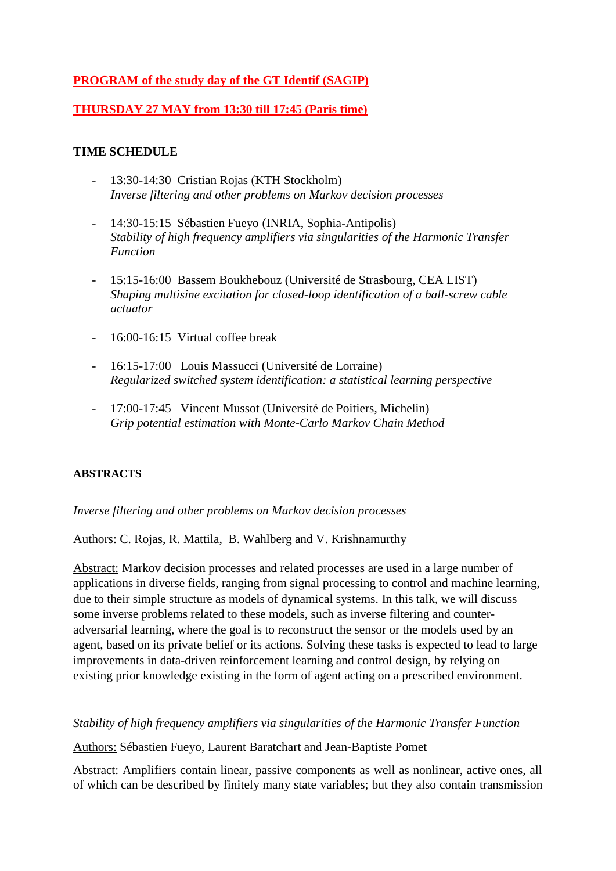# **PROGRAM of the study day of the GT Identif (SAGIP)**

# **THURSDAY 27 MAY from 13:30 till 17:45 (Paris time)**

## **TIME SCHEDULE**

- 13:30-14:30 Cristian Rojas (KTH Stockholm) *Inverse filtering and other problems on Markov decision processes*
- 14:30-15:15 Sébastien Fueyo (INRIA, Sophia-Antipolis) *Stability of high frequency amplifiers via singularities of the Harmonic Transfer Function*
- 15:15-16:00 Bassem Boukhebouz (Université de Strasbourg, CEA LIST) *Shaping multisine excitation for closed-loop identification of a ball-screw cable actuator*
- 16:00-16:15 Virtual coffee break
- 16:15-17:00 Louis Massucci (Université de Lorraine) *Regularized switched system identification: a statistical learning perspective*
- 17:00-17:45 Vincent Mussot (Université de Poitiers, Michelin)  *Grip potential estimation with Monte-Carlo Markov Chain Method*

### **ABSTRACTS**

### *Inverse filtering and other problems on Markov decision processes*

Authors: C. Rojas, R. Mattila, B. Wahlberg and V. Krishnamurthy

Abstract: Markov decision processes and related processes are used in a large number of applications in diverse fields, ranging from signal processing to control and machine learning, due to their simple structure as models of dynamical systems. In this talk, we will discuss some inverse problems related to these models, such as inverse filtering and counteradversarial learning, where the goal is to reconstruct the sensor or the models used by an agent, based on its private belief or its actions. Solving these tasks is expected to lead to large improvements in data-driven reinforcement learning and control design, by relying on existing prior knowledge existing in the form of agent acting on a prescribed environment.

*Stability of high frequency amplifiers via singularities of the Harmonic Transfer Function*

Authors: Sébastien Fueyo, Laurent Baratchart and Jean-Baptiste Pomet

Abstract: Amplifiers contain linear, passive components as well as nonlinear, active ones, all of which can be described by finitely many state variables; but they also contain transmission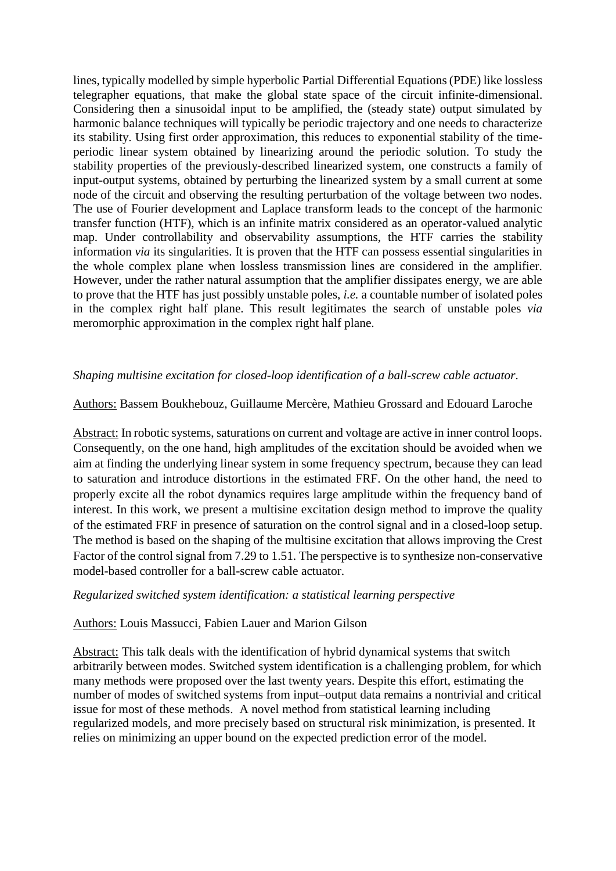lines, typically modelled by simple hyperbolic Partial Differential Equations (PDE) like lossless telegrapher equations, that make the global state space of the circuit infinite-dimensional. Considering then a sinusoidal input to be amplified, the (steady state) output simulated by harmonic balance techniques will typically be periodic trajectory and one needs to characterize its stability. Using first order approximation, this reduces to exponential stability of the timeperiodic linear system obtained by linearizing around the periodic solution. To study the stability properties of the previously-described linearized system, one constructs a family of input-output systems, obtained by perturbing the linearized system by a small current at some node of the circuit and observing the resulting perturbation of the voltage between two nodes. The use of Fourier development and Laplace transform leads to the concept of the harmonic transfer function (HTF), which is an infinite matrix considered as an operator-valued analytic map. Under controllability and observability assumptions, the HTF carries the stability information *via* its singularities. It is proven that the HTF can possess essential singularities in the whole complex plane when lossless transmission lines are considered in the amplifier. However, under the rather natural assumption that the amplifier dissipates energy, we are able to prove that the HTF has just possibly unstable poles, *i.e.* a countable number of isolated poles in the complex right half plane. This result legitimates the search of unstable poles *via*  meromorphic approximation in the complex right half plane.

## *Shaping multisine excitation for closed-loop identification of a ball-screw cable actuator*.

### Authors: Bassem Boukhebouz, Guillaume Mercère, Mathieu Grossard and Edouard Laroche

Abstract: In robotic systems, saturations on current and voltage are active in inner control loops. Consequently, on the one hand, high amplitudes of the excitation should be avoided when we aim at finding the underlying linear system in some frequency spectrum, because they can lead to saturation and introduce distortions in the estimated FRF. On the other hand, the need to properly excite all the robot dynamics requires large amplitude within the frequency band of interest. In this work, we present a multisine excitation design method to improve the quality of the estimated FRF in presence of saturation on the control signal and in a closed-loop setup. The method is based on the shaping of the multisine excitation that allows improving the Crest Factor of the control signal from 7.29 to 1.51. The perspective is to synthesize non-conservative model-based controller for a ball-screw cable actuator.

### *Regularized switched system identification: a statistical learning perspective*

### Authors: Louis Massucci, Fabien Lauer and Marion Gilson

Abstract: This talk deals with the identification of hybrid dynamical systems that switch arbitrarily between modes. Switched system identification is a challenging problem, for which many methods were proposed over the last twenty years. Despite this effort, estimating the number of modes of switched systems from input–output data remains a nontrivial and critical issue for most of these methods. A novel method from statistical learning including regularized models, and more precisely based on structural risk minimization, is presented. It relies on minimizing an upper bound on the expected prediction error of the model.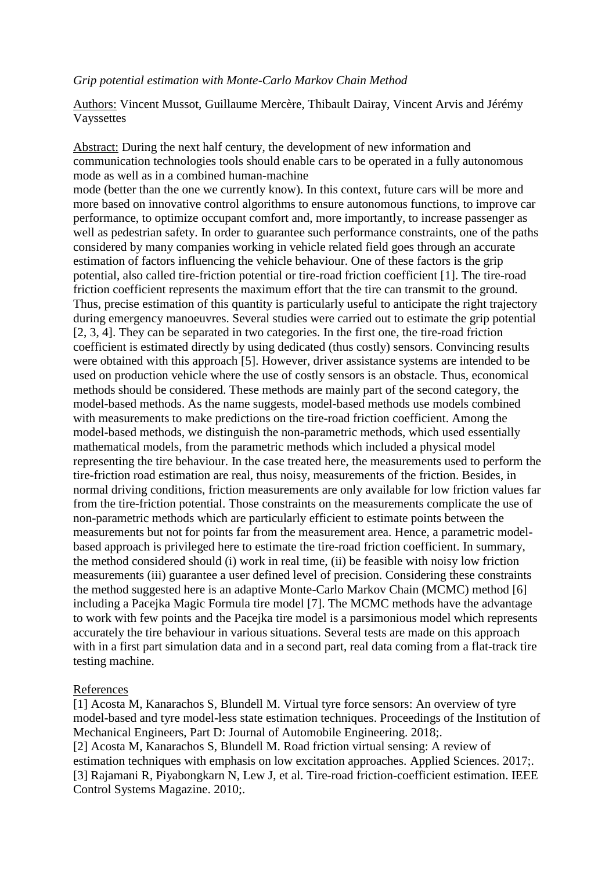#### *Grip potential estimation with Monte-Carlo Markov Chain Method*

Authors: Vincent Mussot, Guillaume Mercère, Thibault Dairay, Vincent Arvis and Jérémy Vayssettes

Abstract: During the next half century, the development of new information and communication technologies tools should enable cars to be operated in a fully autonomous mode as well as in a combined human-machine

mode (better than the one we currently know). In this context, future cars will be more and more based on innovative control algorithms to ensure autonomous functions, to improve car performance, to optimize occupant comfort and, more importantly, to increase passenger as well as pedestrian safety. In order to guarantee such performance constraints, one of the paths considered by many companies working in vehicle related field goes through an accurate estimation of factors influencing the vehicle behaviour. One of these factors is the grip potential, also called tire-friction potential or tire-road friction coefficient [1]. The tire-road friction coefficient represents the maximum effort that the tire can transmit to the ground. Thus, precise estimation of this quantity is particularly useful to anticipate the right trajectory during emergency manoeuvres. Several studies were carried out to estimate the grip potential [2, 3, 4]. They can be separated in two categories. In the first one, the tire-road friction coefficient is estimated directly by using dedicated (thus costly) sensors. Convincing results were obtained with this approach [5]. However, driver assistance systems are intended to be used on production vehicle where the use of costly sensors is an obstacle. Thus, economical methods should be considered. These methods are mainly part of the second category, the model-based methods. As the name suggests, model-based methods use models combined with measurements to make predictions on the tire-road friction coefficient. Among the model-based methods, we distinguish the non-parametric methods, which used essentially mathematical models, from the parametric methods which included a physical model representing the tire behaviour. In the case treated here, the measurements used to perform the tire-friction road estimation are real, thus noisy, measurements of the friction. Besides, in normal driving conditions, friction measurements are only available for low friction values far from the tire-friction potential. Those constraints on the measurements complicate the use of non-parametric methods which are particularly efficient to estimate points between the measurements but not for points far from the measurement area. Hence, a parametric modelbased approach is privileged here to estimate the tire-road friction coefficient. In summary, the method considered should (i) work in real time, (ii) be feasible with noisy low friction measurements (iii) guarantee a user defined level of precision. Considering these constraints the method suggested here is an adaptive Monte-Carlo Markov Chain (MCMC) method [6] including a Pacejka Magic Formula tire model [7]. The MCMC methods have the advantage to work with few points and the Pacejka tire model is a parsimonious model which represents accurately the tire behaviour in various situations. Several tests are made on this approach with in a first part simulation data and in a second part, real data coming from a flat-track tire testing machine.

#### References

[1] Acosta M, Kanarachos S, Blundell M. Virtual tyre force sensors: An overview of tyre model-based and tyre model-less state estimation techniques. Proceedings of the Institution of Mechanical Engineers, Part D: Journal of Automobile Engineering. 2018;. [2] Acosta M, Kanarachos S, Blundell M. Road friction virtual sensing: A review of estimation techniques with emphasis on low excitation approaches. Applied Sciences. 2017;. [3] Rajamani R, Piyabongkarn N, Lew J, et al. Tire-road friction-coefficient estimation. IEEE Control Systems Magazine. 2010;.